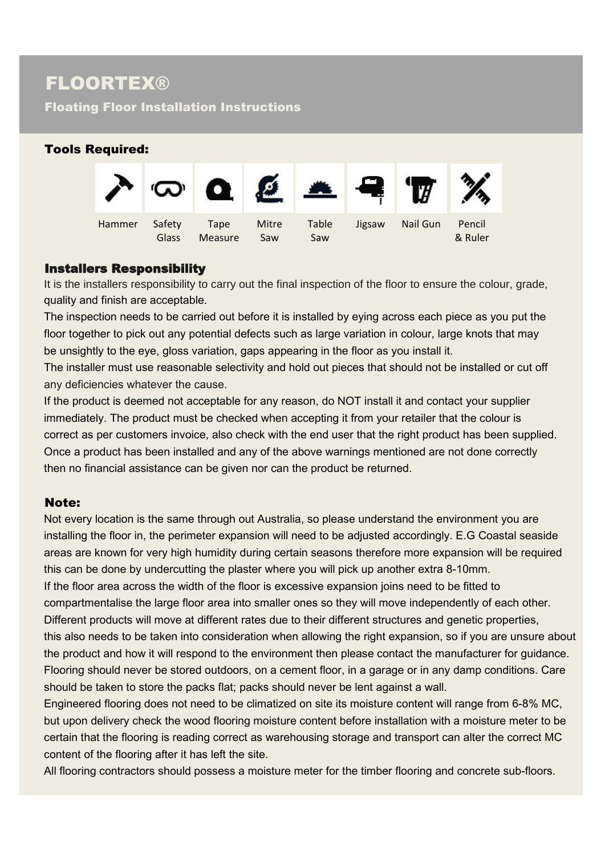Floating Floor Installation Instructions

# Tools Required:  $\bullet$   $\bullet$ Hammer Safety Tape Mitre Table Jigsaw Nail Gun Pencil Glass Measure Saw Saw Saw Saw Saw Saw Saw

### Installers Responsibility

It is the installers responsibility to carry out the final inspection of the floor to ensure the colour, grade, quality and finish are acceptable.

The inspection needs to be carried out before it is installed by eying across each piece as you put the floor together to pick out any potential defects such as large variation in colour, large knots that may be unsightly to the eye, gloss variation, gaps appearing in the floor as you install it.

The installer must use reasonable selectivity and hold out pieces that should not be installed or cut off any deficiencies whatever the cause.

If the product is deemed not acceptable for any reason, do NOT install it and contact your supplier immediately. The product must be checked when accepting it from your retailer that the colour is correct as per customers invoice, also check with the end user that the right product has been supplied. Once a product has been installed and any of the above warnings mentioned are not done correctly then no financial assistance can be given nor can the product be returned.

#### Note:

Not every location is the same through out Australia, so please understand the environment you are installing the floor in, the perimeter expansion will need to be adjusted accordingly. E.G Coastal seaside areas are known for very high humidity during certain seasons therefore more expansion will be required this can be done by undercutting the plaster where you will pick up another extra 8-10mm. If the floor area across the width of the floor is excessive expansion joins need to be fitted to compartmentalise the large floor area into smaller ones so they will move independently of each other. Different products will move at different rates due to their different structures and genetic properties, this also needs to be taken into consideration when allowing the right expansion, so if you are unsure about the product and how it will respond to the environment then please contact the manufacturer for guidance. Flooring should never be stored outdoors, on a cement floor, in a garage or in any damp conditions. Care should be taken to store the packs flat; packs should never be lent against a wall.

Engineered flooring does not need to be climatized on site its moisture content will range from 6-8% MC, but upon delivery check the wood flooring moisture content before installation with a moisture meter to be certain that the flooring is reading correct as warehousing storage and transport can alter the correct MC content of the flooring after it has left the site.

All flooring contractors should possess a moisture meter for the timber flooring and concrete sub-floors.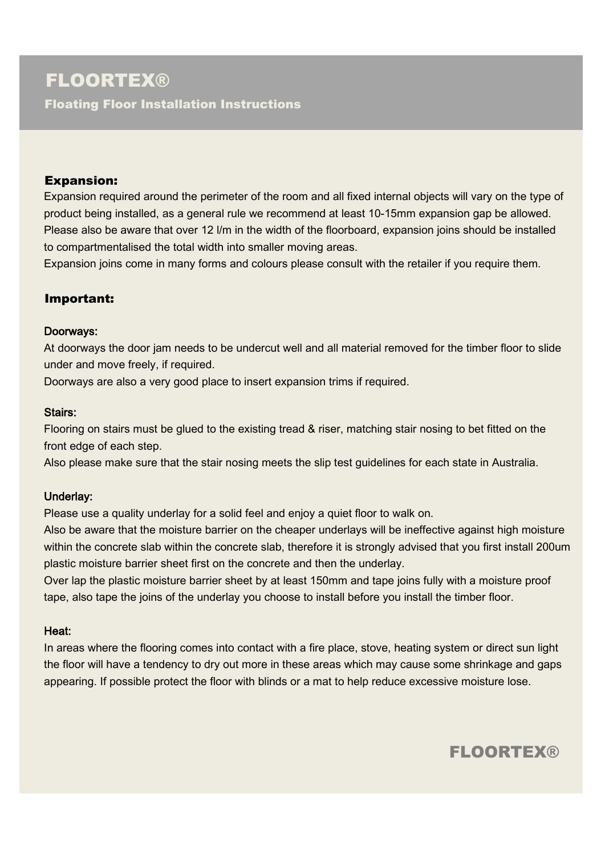Floating Floor Installation Instructions

#### Expansion:

Expansion required around the perimeter of the room and all fixed internal objects will vary on the type of product being installed, as a general rule we recommend at least 10-15mm expansion gap be allowed. Please also be aware that over 12 l/m in the width of the floorboard, expansion joins should be installed to compartmentalised the total width into smaller moving areas.

Expansion joins come in many forms and colours please consult with the retailer if you require them.

### Important:

#### Doorways:

At doorways the door jam needs to be undercut well and all material removed for the timber floor to slide under and move freely, if required.

Doorways are also a very good place to insert expansion trims if required.

#### Stairs:

Flooring on stairs must be glued to the existing tread & riser, matching stair nosing to bet fitted on the front edge of each step.

Also please make sure that the stair nosing meets the slip test guidelines for each state in Australia.

#### Underlay:

Please use a quality underlay for a solid feel and enjoy a quiet floor to walk on.

Also be aware that the moisture barrier on the cheaper underlays will be ineffective against high moisture within the concrete slab within the concrete slab, therefore it is strongly advised that you first install 200um plastic moisture barrier sheet first on the concrete and then the underlay.

Over lap the plastic moisture barrier sheet by at least 150mm and tape joins fully with a moisture proof tape, also tape the joins of the underlay you choose to install before you install the timber floor.

#### Heat:

In areas where the flooring comes into contact with a fire place, stove, heating system or direct sun light the floor will have a tendency to dry out more in these areas which may cause some shrinkage and gaps appearing. If possible protect the floor with blinds or a mat to help reduce excessive moisture lose.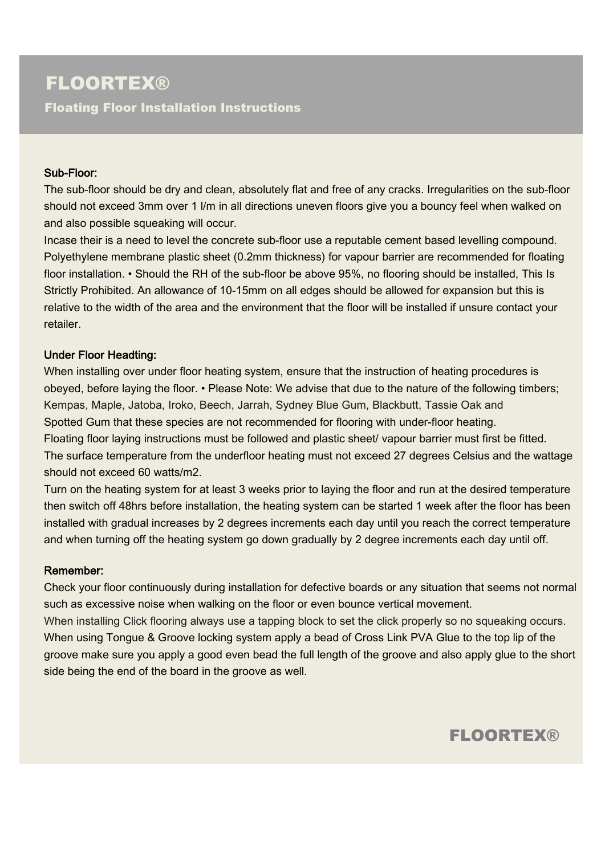Floating Floor Installation Instructions

#### Sub-Floor:

The sub-floor should be dry and clean, absolutely flat and free of any cracks. Irregularities on the sub-floor should not exceed 3mm over 1 l/m in all directions uneven floors give you a bouncy feel when walked on and also possible squeaking will occur.

Incase their is a need to level the concrete sub-floor use a reputable cement based levelling compound. Polyethylene membrane plastic sheet (0.2mm thickness) for vapour barrier are recommended for floating floor installation. • Should the RH of the sub-floor be above 95%, no flooring should be installed, This Is Strictly Prohibited. An allowance of 10-15mm on all edges should be allowed for expansion but this is relative to the width of the area and the environment that the floor will be installed if unsure contact your retailer.

#### Under Floor Headting:

When installing over under floor heating system, ensure that the instruction of heating procedures is obeyed, before laying the floor. • Please Note: We advise that due to the nature of the following timbers; Kempas, Maple, Jatoba, Iroko, Beech, Jarrah, Sydney Blue Gum, Blackbutt, Tassie Oak and Spotted Gum that these species are not recommended for flooring with under-floor heating. Floating floor laying instructions must be followed and plastic sheet/ vapour barrier must first be fitted. The surface temperature from the underfloor heating must not exceed 27 degrees Celsius and the wattage should not exceed 60 watts/m2.

Turn on the heating system for at least 3 weeks prior to laying the floor and run at the desired temperature then switch off 48hrs before installation, the heating system can be started 1 week after the floor has been installed with gradual increases by 2 degrees increments each day until you reach the correct temperature and when turning off the heating system go down gradually by 2 degree increments each day until off.

#### Remember:

Check your floor continuously during installation for defective boards or any situation that seems not normal such as excessive noise when walking on the floor or even bounce vertical movement.

When installing Click flooring always use a tapping block to set the click properly so no squeaking occurs. When using Tongue & Groove locking system apply a bead of Cross Link PVA Glue to the top lip of the groove make sure you apply a good even bead the full length of the groove and also apply glue to the short side being the end of the board in the groove as well.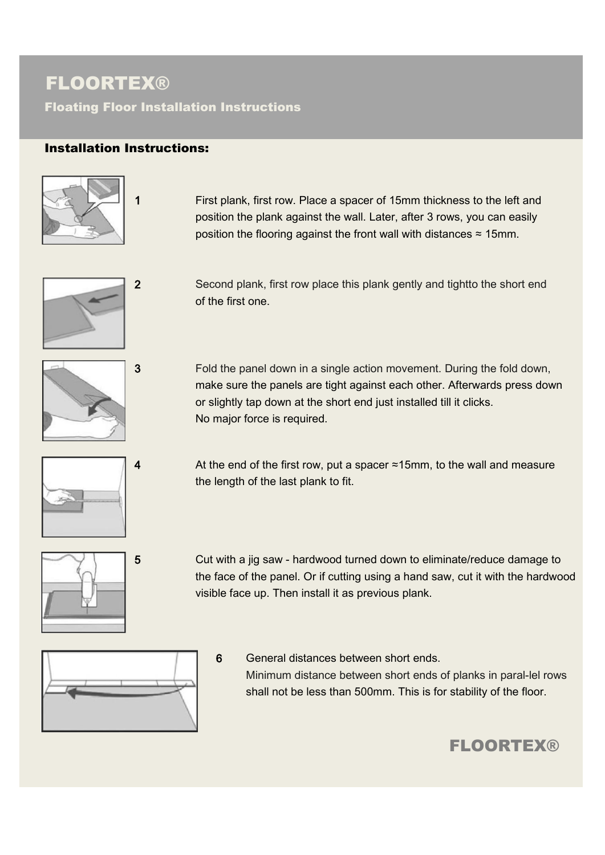Floating Floor Installation Instructions

### Installation Instructions:



1 First plank, first row. Place a spacer of 15mm thickness to the left and position the plank against the wall. Later, after 3 rows, you can easily position the flooring against the front wall with distances  $\approx$  15mm.



2 Second plank, first row place this plank gently and tightto the short end of the first one.



3 Fold the panel down in a single action movement. During the fold down, make sure the panels are tight against each other. Afterwards press down or slightly tap down at the short end just installed till it clicks. No major force is required.



4 At the end of the first row, put a spacer  $\approx$ 15mm, to the wall and measure the length of the last plank to fit.



5 Cut with a jig saw - hardwood turned down to eliminate/reduce damage to the face of the panel. Or if cutting using a hand saw, cut it with the hardwood visible face up. Then install it as previous plank.



6 General distances between short ends. Minimum distance between short ends of planks in paral-lel rows shall not be less than 500mm. This is for stability of the floor.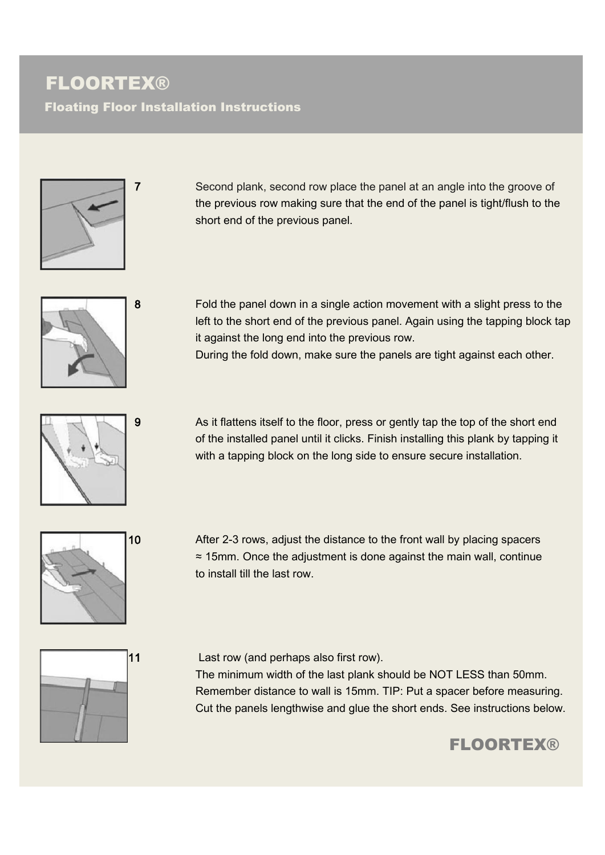Floating Floor Installation Instructions



7 Second plank, second row place the panel at an angle into the groove of the previous row making sure that the end of the panel is tight/flush to the short end of the previous panel.



8 Fold the panel down in a single action movement with a slight press to the left to the short end of the previous panel. Again using the tapping block tap it against the long end into the previous row.

During the fold down, make sure the panels are tight against each other.



9 As it flattens itself to the floor, press or gently tap the top of the short end of the installed panel until it clicks. Finish installing this plank by tapping it with a tapping block on the long side to ensure secure installation.



10 After 2-3 rows, adjust the distance to the front wall by placing spacers ≈ 15mm. Once the adjustment is done against the main wall, continue to install till the last row.



11 Last row (and perhaps also first row).

The minimum width of the last plank should be NOT LESS than 50mm. Remember distance to wall is 15mm. TIP: Put a spacer before measuring. Cut the panels lengthwise and glue the short ends. See instructions below.